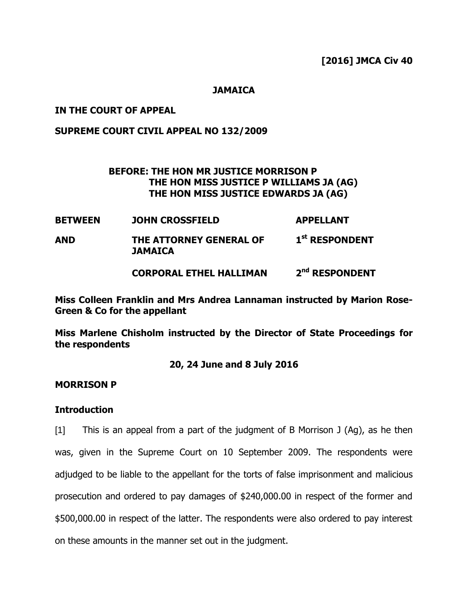**[2016] JMCA Civ 40**

#### **JAMAICA**

#### **IN THE COURT OF APPEAL**

## **SUPREME COURT CIVIL APPEAL NO 132/2009**

## **BEFORE: THE HON MR JUSTICE MORRISON P THE HON MISS JUSTICE P WILLIAMS JA (AG) THE HON MISS JUSTICE EDWARDS JA (AG)**

| <b>BETWEEN</b> | <b>JOHN CROSSFIELD</b>                    | <b>APPELLANT</b>           |
|----------------|-------------------------------------------|----------------------------|
| <b>AND</b>     | THE ATTORNEY GENERAL OF<br><b>JAMAICA</b> | 1 <sup>st</sup> RESPONDENT |
|                | <b>CORPORAL ETHEL HALLIMAN</b>            | 2 <sup>nd</sup> RESPONDENT |

**Miss Colleen Franklin and Mrs Andrea Lannaman instructed by Marion Rose-Green & Co for the appellant**

**Miss Marlene Chisholm instructed by the Director of State Proceedings for the respondents**

## **20, 24 June and 8 July 2016**

#### **MORRISON P**

## **Introduction**

[1] This is an appeal from a part of the judgment of B Morrison J (Ag), as he then was, given in the Supreme Court on 10 September 2009. The respondents were adjudged to be liable to the appellant for the torts of false imprisonment and malicious prosecution and ordered to pay damages of \$240,000.00 in respect of the former and \$500,000.00 in respect of the latter. The respondents were also ordered to pay interest on these amounts in the manner set out in the judgment.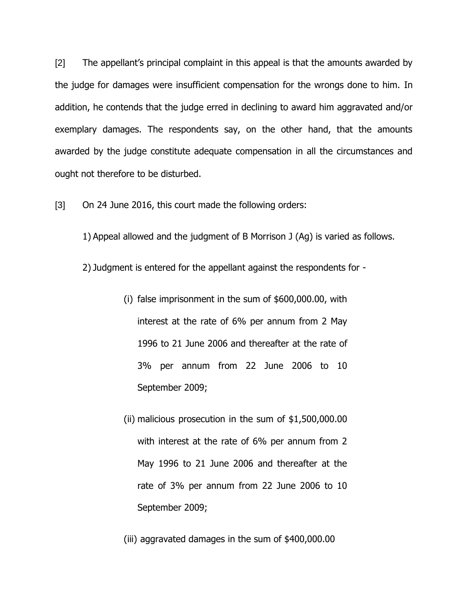[2] The appellant's principal complaint in this appeal is that the amounts awarded by the judge for damages were insufficient compensation for the wrongs done to him. In addition, he contends that the judge erred in declining to award him aggravated and/or exemplary damages. The respondents say, on the other hand, that the amounts awarded by the judge constitute adequate compensation in all the circumstances and ought not therefore to be disturbed.

[3] On 24 June 2016, this court made the following orders:

1) Appeal allowed and the judgment of B Morrison J (Ag) is varied as follows.

2) Judgment is entered for the appellant against the respondents for -

- (i) false imprisonment in the sum of \$600,000.00, with interest at the rate of 6% per annum from 2 May 1996 to 21 June 2006 and thereafter at the rate of 3% per annum from 22 June 2006 to 10 September 2009;
- (ii) malicious prosecution in the sum of \$1,500,000.00 with interest at the rate of 6% per annum from 2 May 1996 to 21 June 2006 and thereafter at the rate of 3% per annum from 22 June 2006 to 10 September 2009;

(iii) aggravated damages in the sum of \$400,000.00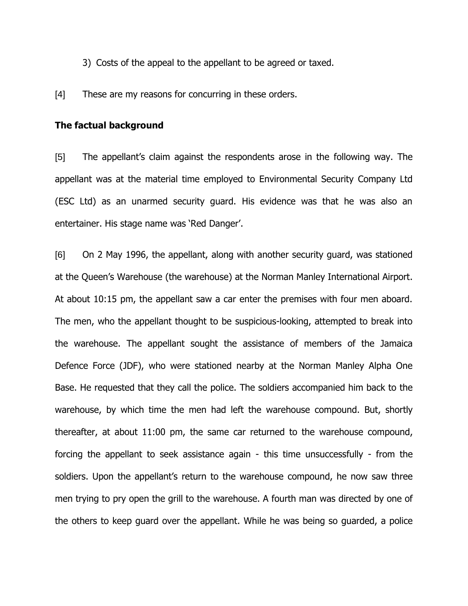- 3) Costs of the appeal to the appellant to be agreed or taxed.
- [4] These are my reasons for concurring in these orders.

#### **The factual background**

[5] The appellant"s claim against the respondents arose in the following way. The appellant was at the material time employed to Environmental Security Company Ltd (ESC Ltd) as an unarmed security guard. His evidence was that he was also an entertainer. His stage name was 'Red Danger'.

[6] On 2 May 1996, the appellant, along with another security guard, was stationed at the Queen"s Warehouse (the warehouse) at the Norman Manley International Airport. At about 10:15 pm, the appellant saw a car enter the premises with four men aboard. The men, who the appellant thought to be suspicious-looking, attempted to break into the warehouse. The appellant sought the assistance of members of the Jamaica Defence Force (JDF), who were stationed nearby at the Norman Manley Alpha One Base. He requested that they call the police. The soldiers accompanied him back to the warehouse, by which time the men had left the warehouse compound. But, shortly thereafter, at about 11:00 pm, the same car returned to the warehouse compound, forcing the appellant to seek assistance again - this time unsuccessfully - from the soldiers. Upon the appellant's return to the warehouse compound, he now saw three men trying to pry open the grill to the warehouse. A fourth man was directed by one of the others to keep guard over the appellant. While he was being so guarded, a police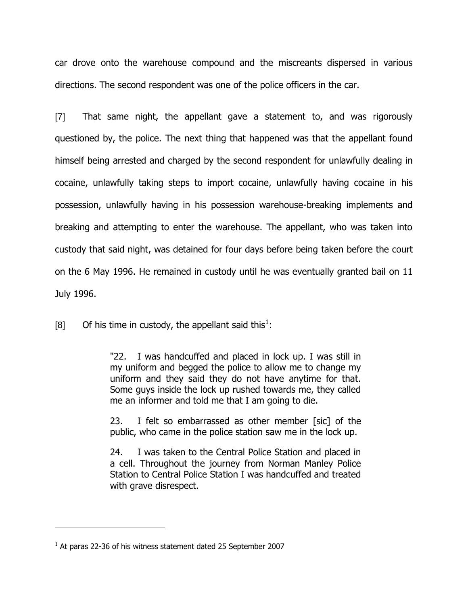car drove onto the warehouse compound and the miscreants dispersed in various directions. The second respondent was one of the police officers in the car.

[7] That same night, the appellant gave a statement to, and was rigorously questioned by, the police. The next thing that happened was that the appellant found himself being arrested and charged by the second respondent for unlawfully dealing in cocaine, unlawfully taking steps to import cocaine, unlawfully having cocaine in his possession, unlawfully having in his possession warehouse-breaking implements and breaking and attempting to enter the warehouse. The appellant, who was taken into custody that said night, was detained for four days before being taken before the court on the 6 May 1996. He remained in custody until he was eventually granted bail on 11 July 1996.

[8] Of his time in custody, the appellant said this<sup>1</sup>:

"22. I was handcuffed and placed in lock up. I was still in my uniform and begged the police to allow me to change my uniform and they said they do not have anytime for that. Some guys inside the lock up rushed towards me, they called me an informer and told me that I am going to die.

23. I felt so embarrassed as other member [sic] of the public, who came in the police station saw me in the lock up.

24. I was taken to the Central Police Station and placed in a cell. Throughout the journey from Norman Manley Police Station to Central Police Station I was handcuffed and treated with grave disrespect.

 $<sup>1</sup>$  At paras 22-36 of his witness statement dated 25 September 2007</sup>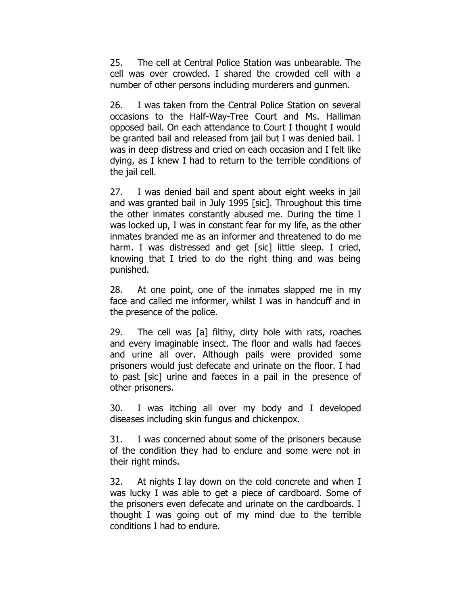25. The cell at Central Police Station was unbearable. The cell was over crowded. I shared the crowded cell with a number of other persons including murderers and gunmen.

26. I was taken from the Central Police Station on several occasions to the Half-Way-Tree Court and Ms. Halliman opposed bail. On each attendance to Court I thought I would be granted bail and released from jail but I was denied bail. I was in deep distress and cried on each occasion and I felt like dying, as I knew I had to return to the terrible conditions of the jail cell.

27. I was denied bail and spent about eight weeks in jail and was granted bail in July 1995 [sic]. Throughout this time the other inmates constantly abused me. During the time I was locked up, I was in constant fear for my life, as the other inmates branded me as an informer and threatened to do me harm. I was distressed and get [sic] little sleep. I cried, knowing that I tried to do the right thing and was being punished.

28. At one point, one of the inmates slapped me in my face and called me informer, whilst I was in handcuff and in the presence of the police.

29. The cell was [a] filthy, dirty hole with rats, roaches and every imaginable insect. The floor and walls had faeces and urine all over. Although pails were provided some prisoners would just defecate and urinate on the floor. I had to past [sic] urine and faeces in a pail in the presence of other prisoners.

30. I was itching all over my body and I developed diseases including skin fungus and chickenpox.

31. I was concerned about some of the prisoners because of the condition they had to endure and some were not in their right minds.

32. At nights I lay down on the cold concrete and when I was lucky I was able to get a piece of cardboard. Some of the prisoners even defecate and urinate on the cardboards. I thought I was going out of my mind due to the terrible conditions I had to endure.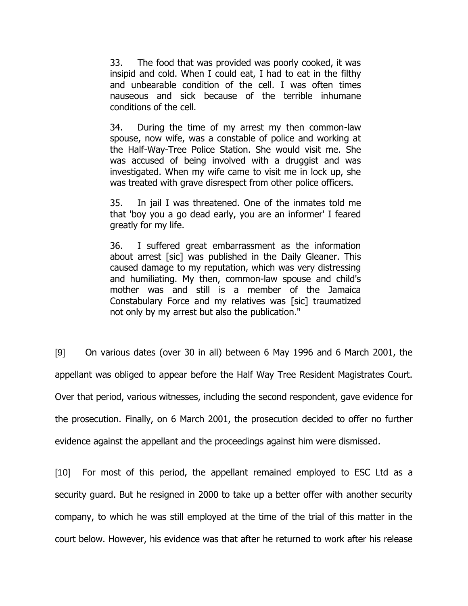33. The food that was provided was poorly cooked, it was insipid and cold. When I could eat, I had to eat in the filthy and unbearable condition of the cell. I was often times nauseous and sick because of the terrible inhumane conditions of the cell.

34. During the time of my arrest my then common-law spouse, now wife, was a constable of police and working at the Half-Way-Tree Police Station. She would visit me. She was accused of being involved with a druggist and was investigated. When my wife came to visit me in lock up, she was treated with grave disrespect from other police officers.

35. In jail I was threatened. One of the inmates told me that 'boy you a go dead early, you are an informer' I feared greatly for my life.

36. I suffered great embarrassment as the information about arrest [sic] was published in the Daily Gleaner. This caused damage to my reputation, which was very distressing and humiliating. My then, common-law spouse and child's mother was and still is a member of the Jamaica Constabulary Force and my relatives was [sic] traumatized not only by my arrest but also the publication."

[9] On various dates (over 30 in all) between 6 May 1996 and 6 March 2001, the appellant was obliged to appear before the Half Way Tree Resident Magistrates Court. Over that period, various witnesses, including the second respondent, gave evidence for the prosecution. Finally, on 6 March 2001, the prosecution decided to offer no further evidence against the appellant and the proceedings against him were dismissed.

[10] For most of this period, the appellant remained employed to ESC Ltd as a security guard. But he resigned in 2000 to take up a better offer with another security company, to which he was still employed at the time of the trial of this matter in the court below. However, his evidence was that after he returned to work after his release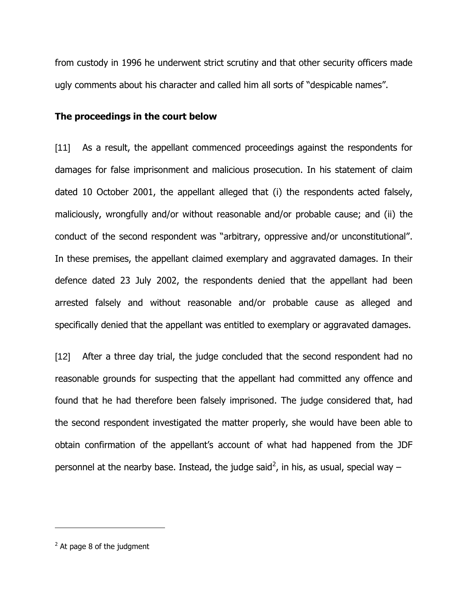from custody in 1996 he underwent strict scrutiny and that other security officers made ugly comments about his character and called him all sorts of "despicable names".

#### **The proceedings in the court below**

[11] As a result, the appellant commenced proceedings against the respondents for damages for false imprisonment and malicious prosecution. In his statement of claim dated 10 October 2001, the appellant alleged that (i) the respondents acted falsely, maliciously, wrongfully and/or without reasonable and/or probable cause; and (ii) the conduct of the second respondent was "arbitrary, oppressive and/or unconstitutional". In these premises, the appellant claimed exemplary and aggravated damages. In their defence dated 23 July 2002, the respondents denied that the appellant had been arrested falsely and without reasonable and/or probable cause as alleged and specifically denied that the appellant was entitled to exemplary or aggravated damages.

[12] After a three day trial, the judge concluded that the second respondent had no reasonable grounds for suspecting that the appellant had committed any offence and found that he had therefore been falsely imprisoned. The judge considered that, had the second respondent investigated the matter properly, she would have been able to obtain confirmation of the appellant"s account of what had happened from the JDF personnel at the nearby base. Instead, the judge said<sup>2</sup>, in his, as usual, special way  $-$ 

 $2$  At page 8 of the judgment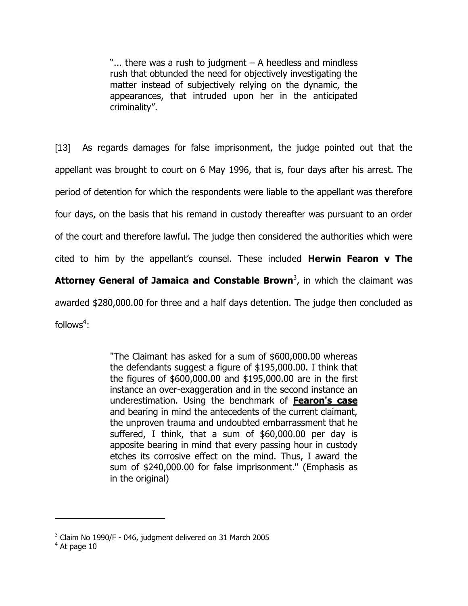" $\ldots$  there was a rush to judgment  $-$  A heedless and mindless rush that obtunded the need for objectively investigating the matter instead of subjectively relying on the dynamic, the appearances, that intruded upon her in the anticipated criminality".

[13] As regards damages for false imprisonment, the judge pointed out that the appellant was brought to court on 6 May 1996, that is, four days after his arrest. The period of detention for which the respondents were liable to the appellant was therefore four days, on the basis that his remand in custody thereafter was pursuant to an order of the court and therefore lawful. The judge then considered the authorities which were cited to him by the appellant"s counsel. These included **Herwin Fearon v The Attorney General of Jamaica and Constable Brown**<sup>3</sup> , in which the claimant was awarded \$280,000.00 for three and a half days detention. The judge then concluded as follows $4$ :

> "The Claimant has asked for a sum of \$600,000.00 whereas the defendants suggest a figure of \$195,000.00. I think that the figures of \$600,000.00 and \$195,000.00 are in the first instance an over-exaggeration and in the second instance an underestimation. Using the benchmark of **Fearon's case** and bearing in mind the antecedents of the current claimant, the unproven trauma and undoubted embarrassment that he suffered, I think, that a sum of \$60,000.00 per day is apposite bearing in mind that every passing hour in custody etches its corrosive effect on the mind. Thus, I award the sum of \$240,000.00 for false imprisonment." (Emphasis as in the original)

 $3$  Claim No 1990/F - 046, judgment delivered on 31 March 2005

 $<sup>4</sup>$  At page 10</sup>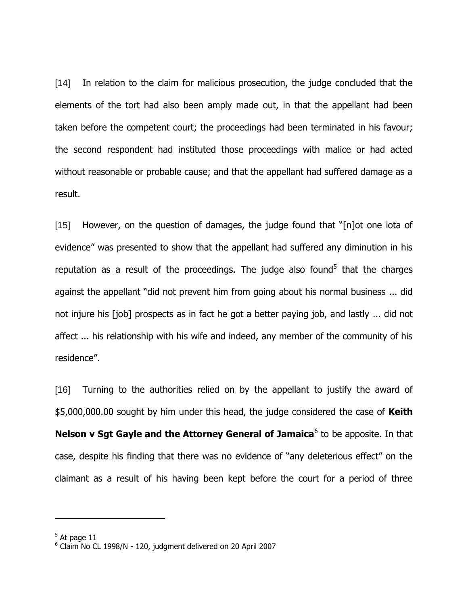[14] In relation to the claim for malicious prosecution, the judge concluded that the elements of the tort had also been amply made out, in that the appellant had been taken before the competent court; the proceedings had been terminated in his favour; the second respondent had instituted those proceedings with malice or had acted without reasonable or probable cause; and that the appellant had suffered damage as a result.

[15] However, on the question of damages, the judge found that "[n]ot one iota of evidence" was presented to show that the appellant had suffered any diminution in his reputation as a result of the proceedings. The judge also found<sup>5</sup> that the charges against the appellant "did not prevent him from going about his normal business ... did not injure his [job] prospects as in fact he got a better paying job, and lastly ... did not affect ... his relationship with his wife and indeed, any member of the community of his residence".

[16] Turning to the authorities relied on by the appellant to justify the award of \$5,000,000.00 sought by him under this head, the judge considered the case of **Keith Nelson v Sgt Gayle and the Attorney General of Jamaica<sup>6</sup> to be apposite. In that** case, despite his finding that there was no evidence of "any deleterious effect" on the claimant as a result of his having been kept before the court for a period of three

 $<sup>5</sup>$  At page 11</sup>

 $^6$  Claim No CL 1998/N - 120, judgment delivered on 20 April 2007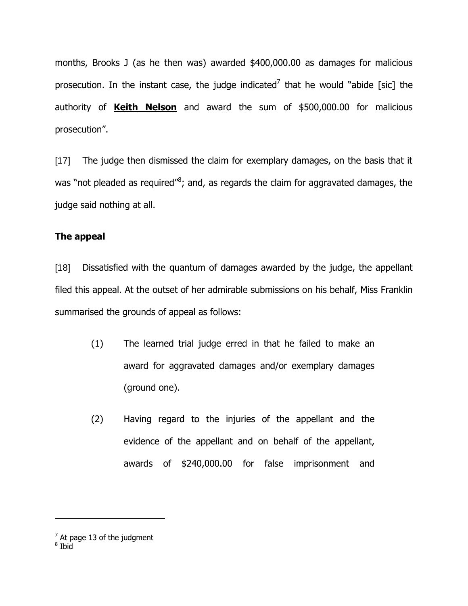months, Brooks J (as he then was) awarded \$400,000.00 as damages for malicious prosecution. In the instant case, the judge indicated<sup>7</sup> that he would "abide [sic] the authority of **Keith Nelson** and award the sum of \$500,000.00 for malicious prosecution".

[17] The judge then dismissed the claim for exemplary damages, on the basis that it was "not pleaded as required"<sup>8</sup>; and, as regards the claim for aggravated damages, the judge said nothing at all.

## **The appeal**

[18] Dissatisfied with the quantum of damages awarded by the judge, the appellant filed this appeal. At the outset of her admirable submissions on his behalf, Miss Franklin summarised the grounds of appeal as follows:

- (1) The learned trial judge erred in that he failed to make an award for aggravated damages and/or exemplary damages (ground one).
- (2) Having regard to the injuries of the appellant and the evidence of the appellant and on behalf of the appellant, awards of \$240,000.00 for false imprisonment and

 $^7$  At page 13 of the judgment<br> $^8$  Ibid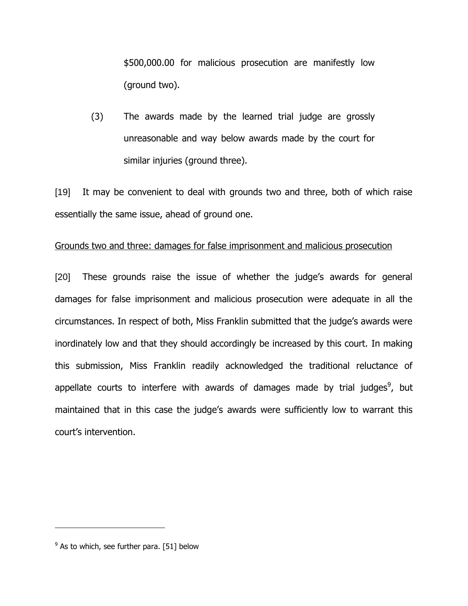\$500,000.00 for malicious prosecution are manifestly low (ground two).

(3) The awards made by the learned trial judge are grossly unreasonable and way below awards made by the court for similar injuries (ground three).

[19] It may be convenient to deal with grounds two and three, both of which raise essentially the same issue, ahead of ground one.

#### Grounds two and three: damages for false imprisonment and malicious prosecution

[20] These grounds raise the issue of whether the judge's awards for general damages for false imprisonment and malicious prosecution were adequate in all the circumstances. In respect of both, Miss Franklin submitted that the judge"s awards were inordinately low and that they should accordingly be increased by this court. In making this submission, Miss Franklin readily acknowledged the traditional reluctance of appellate courts to interfere with awards of damages made by trial judges<sup>9</sup>, but maintained that in this case the judge's awards were sufficiently low to warrant this court"s intervention.

 $^{9}$  As to which, see further para. [51] below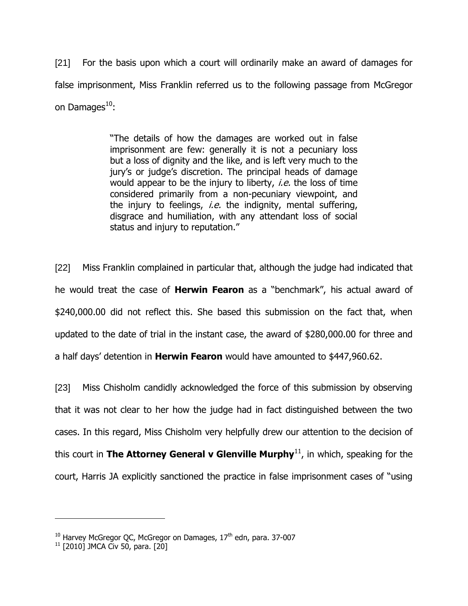[21] For the basis upon which a court will ordinarily make an award of damages for false imprisonment, Miss Franklin referred us to the following passage from McGregor on Damages $^{10}$ :

> "The details of how the damages are worked out in false imprisonment are few: generally it is not a pecuniary loss but a loss of dignity and the like, and is left very much to the jury's or judge's discretion. The principal heads of damage would appear to be the injury to liberty, *i.e.* the loss of time considered primarily from a non-pecuniary viewpoint, and the injury to feelings, *i.e.* the indignity, mental suffering, disgrace and humiliation, with any attendant loss of social status and injury to reputation."

[22] Miss Franklin complained in particular that, although the judge had indicated that he would treat the case of **Herwin Fearon** as a "benchmark", his actual award of \$240,000.00 did not reflect this. She based this submission on the fact that, when updated to the date of trial in the instant case, the award of \$280,000.00 for three and a half days" detention in **Herwin Fearon** would have amounted to \$447,960.62.

[23] Miss Chisholm candidly acknowledged the force of this submission by observing that it was not clear to her how the judge had in fact distinguished between the two cases. In this regard, Miss Chisholm very helpfully drew our attention to the decision of this court in **The Attorney General v Glenville Murphy**<sup>11</sup>, in which, speaking for the court, Harris JA explicitly sanctioned the practice in false imprisonment cases of "using

 $10$  Harvey McGregor QC, McGregor on Damages,  $17<sup>th</sup>$  edn, para. 37-007

 $11$  [2010] JMCA Civ 50, para. [20]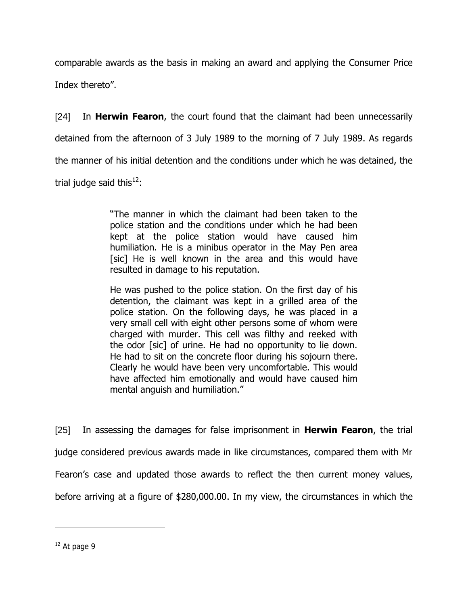comparable awards as the basis in making an award and applying the Consumer Price Index thereto".

[24] In **Herwin Fearon**, the court found that the claimant had been unnecessarily detained from the afternoon of 3 July 1989 to the morning of 7 July 1989. As regards the manner of his initial detention and the conditions under which he was detained, the trial judge said this<sup>12</sup>:

> "The manner in which the claimant had been taken to the police station and the conditions under which he had been kept at the police station would have caused him humiliation. He is a minibus operator in the May Pen area [sic] He is well known in the area and this would have resulted in damage to his reputation.

> He was pushed to the police station. On the first day of his detention, the claimant was kept in a grilled area of the police station. On the following days, he was placed in a very small cell with eight other persons some of whom were charged with murder. This cell was filthy and reeked with the odor [sic] of urine. He had no opportunity to lie down. He had to sit on the concrete floor during his sojourn there. Clearly he would have been very uncomfortable. This would have affected him emotionally and would have caused him mental anguish and humiliation."

[25] In assessing the damages for false imprisonment in **Herwin Fearon**, the trial judge considered previous awards made in like circumstances, compared them with Mr Fearon's case and updated those awards to reflect the then current money values, before arriving at a figure of \$280,000.00. In my view, the circumstances in which the

 $12$  At page 9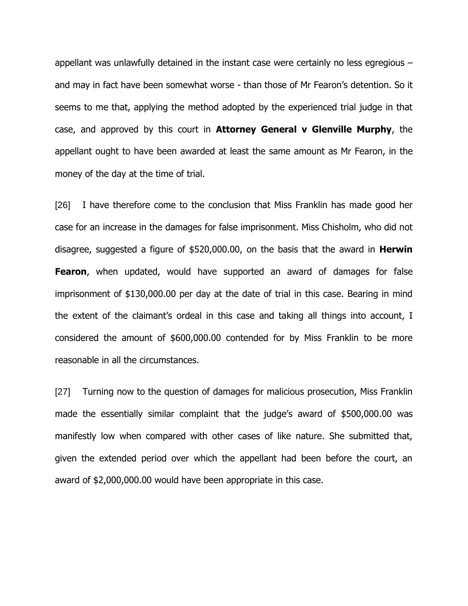appellant was unlawfully detained in the instant case were certainly no less egregious – and may in fact have been somewhat worse - than those of Mr Fearon's detention. So it seems to me that, applying the method adopted by the experienced trial judge in that case, and approved by this court in **Attorney General v Glenville Murphy**, the appellant ought to have been awarded at least the same amount as Mr Fearon, in the money of the day at the time of trial.

[26] I have therefore come to the conclusion that Miss Franklin has made good her case for an increase in the damages for false imprisonment. Miss Chisholm, who did not disagree, suggested a figure of \$520,000.00, on the basis that the award in **Herwin Fearon**, when updated, would have supported an award of damages for false imprisonment of \$130,000.00 per day at the date of trial in this case. Bearing in mind the extent of the claimant"s ordeal in this case and taking all things into account, I considered the amount of \$600,000.00 contended for by Miss Franklin to be more reasonable in all the circumstances.

[27] Turning now to the question of damages for malicious prosecution, Miss Franklin made the essentially similar complaint that the judge's award of \$500,000.00 was manifestly low when compared with other cases of like nature. She submitted that, given the extended period over which the appellant had been before the court, an award of \$2,000,000.00 would have been appropriate in this case.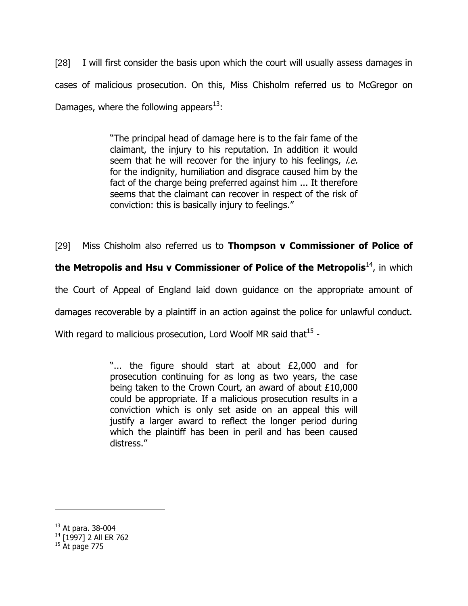[28] I will first consider the basis upon which the court will usually assess damages in cases of malicious prosecution. On this, Miss Chisholm referred us to McGregor on Damages, where the following appears $^{13}$ :

> "The principal head of damage here is to the fair fame of the claimant, the injury to his reputation. In addition it would seem that he will recover for the injury to his feelings, *i.e.* for the indignity, humiliation and disgrace caused him by the fact of the charge being preferred against him ... It therefore seems that the claimant can recover in respect of the risk of conviction: this is basically injury to feelings."

[29] Miss Chisholm also referred us to **Thompson v Commissioner of Police of** 

**the Metropolis and Hsu v Commissioner of Police of the Metropolis<sup>14</sup>, in which** 

the Court of Appeal of England laid down guidance on the appropriate amount of

damages recoverable by a plaintiff in an action against the police for unlawful conduct.

With regard to malicious prosecution, Lord Woolf MR said that $^{15}$  -

"... the figure should start at about £2,000 and for prosecution continuing for as long as two years, the case being taken to the Crown Court, an award of about £10,000 could be appropriate. If a malicious prosecution results in a conviction which is only set aside on an appeal this will justify a larger award to reflect the longer period during which the plaintiff has been in peril and has been caused distress."

<sup>13</sup> At para. 38-004

<sup>&</sup>lt;sup>14</sup> [1997] 2 All ER 762

 $15^{1237}$  J –  $-$  15 At page 775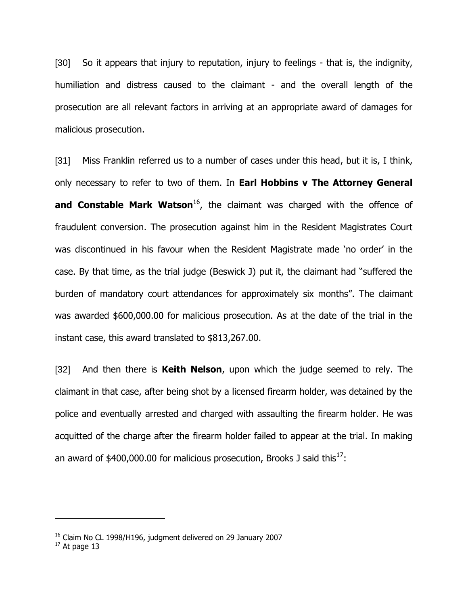[30] So it appears that injury to reputation, injury to feelings - that is, the indignity, humiliation and distress caused to the claimant - and the overall length of the prosecution are all relevant factors in arriving at an appropriate award of damages for malicious prosecution.

[31] Miss Franklin referred us to a number of cases under this head, but it is, I think, only necessary to refer to two of them. In **Earl Hobbins v The Attorney General and Constable Mark Watson**<sup>16</sup>, the claimant was charged with the offence of fraudulent conversion. The prosecution against him in the Resident Magistrates Court was discontinued in his favour when the Resident Magistrate made "no order" in the case. By that time, as the trial judge (Beswick J) put it, the claimant had "suffered the burden of mandatory court attendances for approximately six months". The claimant was awarded \$600,000.00 for malicious prosecution. As at the date of the trial in the instant case, this award translated to \$813,267.00.

[32] And then there is **Keith Nelson**, upon which the judge seemed to rely. The claimant in that case, after being shot by a licensed firearm holder, was detained by the police and eventually arrested and charged with assaulting the firearm holder. He was acquitted of the charge after the firearm holder failed to appear at the trial. In making an award of  $$400,000.00$  for malicious prosecution, Brooks J said this<sup>17</sup>:

 $16$  Claim No CL 1998/H196, judgment delivered on 29 January 2007

 $17$  At page 13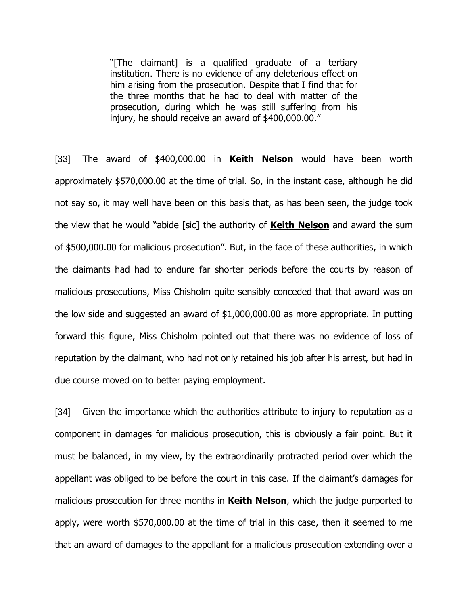"[The claimant] is a qualified graduate of a tertiary institution. There is no evidence of any deleterious effect on him arising from the prosecution. Despite that I find that for the three months that he had to deal with matter of the prosecution, during which he was still suffering from his injury, he should receive an award of \$400,000.00."

[33] The award of \$400,000.00 in **Keith Nelson** would have been worth approximately \$570,000.00 at the time of trial. So, in the instant case, although he did not say so, it may well have been on this basis that, as has been seen, the judge took the view that he would "abide [sic] the authority of **Keith Nelson** and award the sum of \$500,000.00 for malicious prosecution". But, in the face of these authorities, in which the claimants had had to endure far shorter periods before the courts by reason of malicious prosecutions, Miss Chisholm quite sensibly conceded that that award was on the low side and suggested an award of \$1,000,000.00 as more appropriate. In putting forward this figure, Miss Chisholm pointed out that there was no evidence of loss of reputation by the claimant, who had not only retained his job after his arrest, but had in due course moved on to better paying employment.

[34] Given the importance which the authorities attribute to injury to reputation as a component in damages for malicious prosecution, this is obviously a fair point. But it must be balanced, in my view, by the extraordinarily protracted period over which the appellant was obliged to be before the court in this case. If the claimant's damages for malicious prosecution for three months in **Keith Nelson**, which the judge purported to apply, were worth \$570,000.00 at the time of trial in this case, then it seemed to me that an award of damages to the appellant for a malicious prosecution extending over a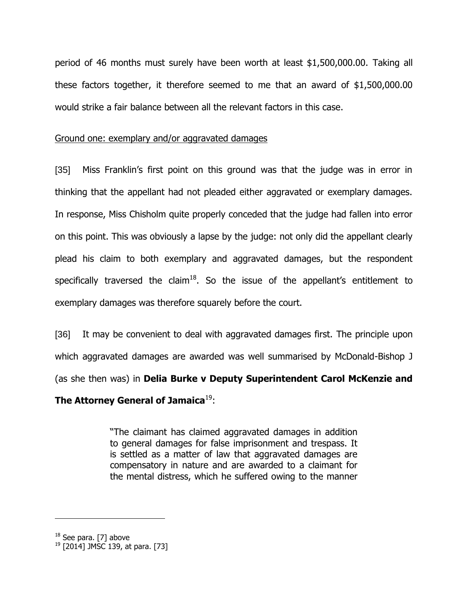period of 46 months must surely have been worth at least \$1,500,000.00. Taking all these factors together, it therefore seemed to me that an award of \$1,500,000.00 would strike a fair balance between all the relevant factors in this case.

## Ground one: exemplary and/or aggravated damages

[35] Miss Franklin's first point on this ground was that the judge was in error in thinking that the appellant had not pleaded either aggravated or exemplary damages. In response, Miss Chisholm quite properly conceded that the judge had fallen into error on this point. This was obviously a lapse by the judge: not only did the appellant clearly plead his claim to both exemplary and aggravated damages, but the respondent specifically traversed the claim<sup>18</sup>. So the issue of the appellant's entitlement to exemplary damages was therefore squarely before the court.

[36] It may be convenient to deal with aggravated damages first. The principle upon which aggravated damages are awarded was well summarised by McDonald-Bishop J (as she then was) in **Delia Burke v Deputy Superintendent Carol McKenzie and** 

# **The Attorney General of Jamaica**<sup>19</sup>:

"The claimant has claimed aggravated damages in addition to general damages for false imprisonment and trespass. It is settled as a matter of law that aggravated damages are compensatory in nature and are awarded to a claimant for the mental distress, which he suffered owing to the manner

<sup>&</sup>lt;sup>18</sup> See para. [7] above

 $19$  [2014] JMSC 139, at para. [73]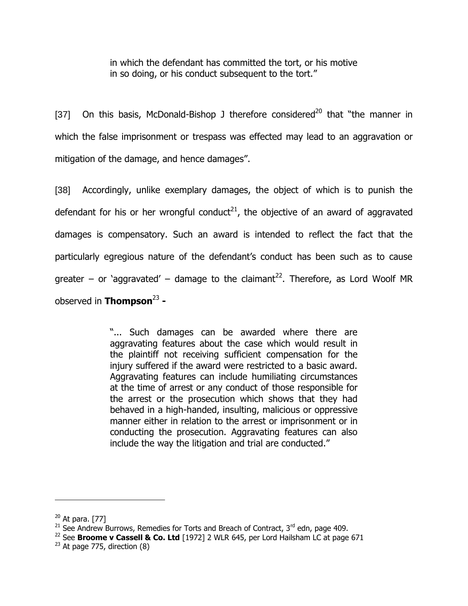in which the defendant has committed the tort, or his motive in so doing, or his conduct subsequent to the tort."

[37] On this basis, McDonald-Bishop J therefore considered<sup>20</sup> that "the manner in which the false imprisonment or trespass was effected may lead to an aggravation or mitigation of the damage, and hence damages".

[38] Accordingly, unlike exemplary damages, the object of which is to punish the defendant for his or her wrongful conduct<sup>21</sup>, the objective of an award of aggravated damages is compensatory. Such an award is intended to reflect the fact that the particularly egregious nature of the defendant"s conduct has been such as to cause greater – or 'aggravated' – damage to the claimant<sup>22</sup>. Therefore, as Lord Woolf MR observed in **Thompson**<sup>23</sup> **-**

> "... Such damages can be awarded where there are aggravating features about the case which would result in the plaintiff not receiving sufficient compensation for the injury suffered if the award were restricted to a basic award. Aggravating features can include humiliating circumstances at the time of arrest or any conduct of those responsible for the arrest or the prosecution which shows that they had behaved in a high-handed, insulting, malicious or oppressive manner either in relation to the arrest or imprisonment or in conducting the prosecution. Aggravating features can also include the way the litigation and trial are conducted."

 $20$  At para. [77]

<sup>&</sup>lt;sup>21</sup> See Andrew Burrows, Remedies for Torts and Breach of Contract, 3<sup>rd</sup> edn, page 409.

<sup>&</sup>lt;sup>22</sup> See **Broome v Cassell & Co. Ltd** [1972] 2 WLR 645, per Lord Hailsham LC at page 671

 $23$  At page 775, direction (8)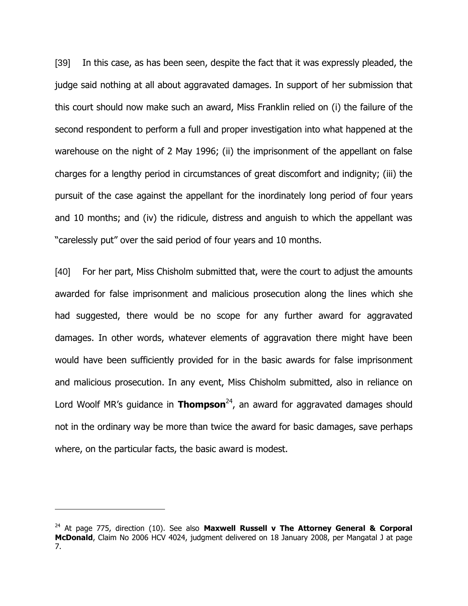[39] In this case, as has been seen, despite the fact that it was expressly pleaded, the judge said nothing at all about aggravated damages. In support of her submission that this court should now make such an award, Miss Franklin relied on (i) the failure of the second respondent to perform a full and proper investigation into what happened at the warehouse on the night of 2 May 1996; (ii) the imprisonment of the appellant on false charges for a lengthy period in circumstances of great discomfort and indignity; (iii) the pursuit of the case against the appellant for the inordinately long period of four years and 10 months; and (iv) the ridicule, distress and anguish to which the appellant was "carelessly put" over the said period of four years and 10 months.

[40] For her part, Miss Chisholm submitted that, were the court to adjust the amounts awarded for false imprisonment and malicious prosecution along the lines which she had suggested, there would be no scope for any further award for aggravated damages. In other words, whatever elements of aggravation there might have been would have been sufficiently provided for in the basic awards for false imprisonment and malicious prosecution. In any event, Miss Chisholm submitted, also in reliance on Lord Woolf MR's guidance in **Thompson**<sup>24</sup>, an award for aggravated damages should not in the ordinary way be more than twice the award for basic damages, save perhaps where, on the particular facts, the basic award is modest.

<sup>24</sup> At page 775, direction (10). See also **Maxwell Russell v The Attorney General & Corporal McDonald**, Claim No 2006 HCV 4024, judgment delivered on 18 January 2008, per Mangatal J at page 7.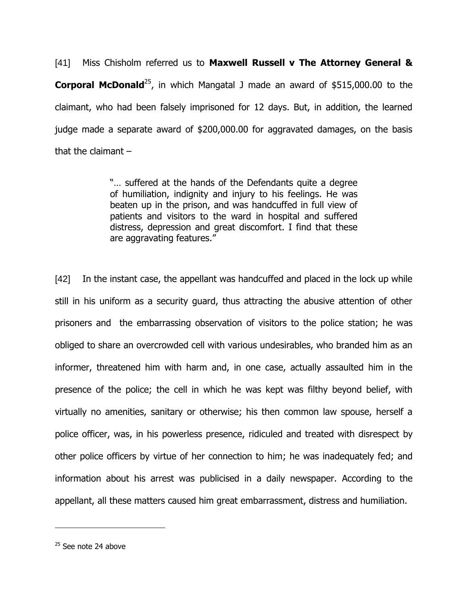[41] Miss Chisholm referred us to **Maxwell Russell v The Attorney General & Corporal McDonald**<sup>25</sup>, in which Mangatal J made an award of \$515,000.00 to the claimant, who had been falsely imprisoned for 12 days. But, in addition, the learned judge made a separate award of \$200,000.00 for aggravated damages, on the basis that the claimant  $-$ 

> "… suffered at the hands of the Defendants quite a degree of humiliation, indignity and injury to his feelings. He was beaten up in the prison, and was handcuffed in full view of patients and visitors to the ward in hospital and suffered distress, depression and great discomfort. I find that these are aggravating features."

[42] In the instant case, the appellant was handcuffed and placed in the lock up while still in his uniform as a security guard, thus attracting the abusive attention of other prisoners and the embarrassing observation of visitors to the police station; he was obliged to share an overcrowded cell with various undesirables, who branded him as an informer, threatened him with harm and, in one case, actually assaulted him in the presence of the police; the cell in which he was kept was filthy beyond belief, with virtually no amenities, sanitary or otherwise; his then common law spouse, herself a police officer, was, in his powerless presence, ridiculed and treated with disrespect by other police officers by virtue of her connection to him; he was inadequately fed; and information about his arrest was publicised in a daily newspaper. According to the appellant, all these matters caused him great embarrassment, distress and humiliation.

 $25$  See note 24 above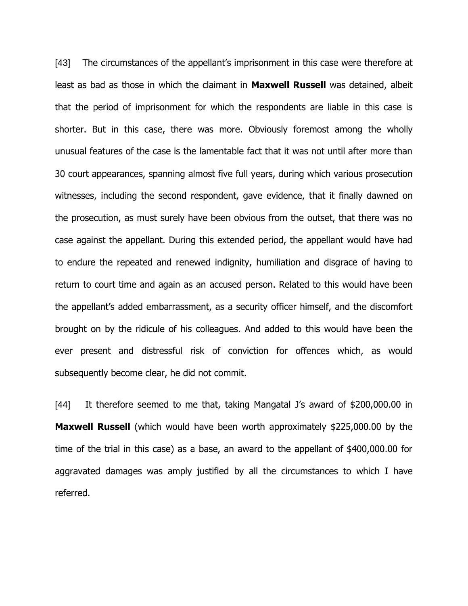[43] The circumstances of the appellant's imprisonment in this case were therefore at least as bad as those in which the claimant in **Maxwell Russell** was detained, albeit that the period of imprisonment for which the respondents are liable in this case is shorter. But in this case, there was more. Obviously foremost among the wholly unusual features of the case is the lamentable fact that it was not until after more than 30 court appearances, spanning almost five full years, during which various prosecution witnesses, including the second respondent, gave evidence, that it finally dawned on the prosecution, as must surely have been obvious from the outset, that there was no case against the appellant. During this extended period, the appellant would have had to endure the repeated and renewed indignity, humiliation and disgrace of having to return to court time and again as an accused person. Related to this would have been the appellant's added embarrassment, as a security officer himself, and the discomfort brought on by the ridicule of his colleagues. And added to this would have been the ever present and distressful risk of conviction for offences which, as would subsequently become clear, he did not commit.

[44] It therefore seemed to me that, taking Mangatal J"s award of \$200,000.00 in **Maxwell Russell** (which would have been worth approximately \$225,000.00 by the time of the trial in this case) as a base, an award to the appellant of \$400,000.00 for aggravated damages was amply justified by all the circumstances to which I have referred.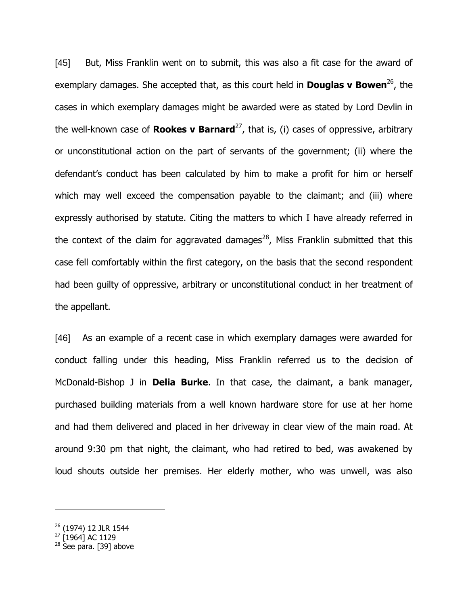[45] But, Miss Franklin went on to submit, this was also a fit case for the award of exemplary damages. She accepted that, as this court held in **Douglas v Bowen**<sup>26</sup>, the cases in which exemplary damages might be awarded were as stated by Lord Devlin in the well-known case of **Rookes v Barnard**<sup>27</sup>, that is, (i) cases of oppressive, arbitrary or unconstitutional action on the part of servants of the government; (ii) where the defendant's conduct has been calculated by him to make a profit for him or herself which may well exceed the compensation payable to the claimant; and (iii) where expressly authorised by statute. Citing the matters to which I have already referred in the context of the claim for aggravated damages<sup>28</sup>, Miss Franklin submitted that this case fell comfortably within the first category, on the basis that the second respondent had been guilty of oppressive, arbitrary or unconstitutional conduct in her treatment of the appellant.

[46] As an example of a recent case in which exemplary damages were awarded for conduct falling under this heading, Miss Franklin referred us to the decision of McDonald-Bishop J in **Delia Burke**. In that case, the claimant, a bank manager, purchased building materials from a well known hardware store for use at her home and had them delivered and placed in her driveway in clear view of the main road. At around 9:30 pm that night, the claimant, who had retired to bed, was awakened by loud shouts outside her premises. Her elderly mother, who was unwell, was also

<sup>27</sup> [1964] AC 1129

<sup>&</sup>lt;sup>26</sup> (1974) 12 JLR 1544

 $28$  See para. [39] above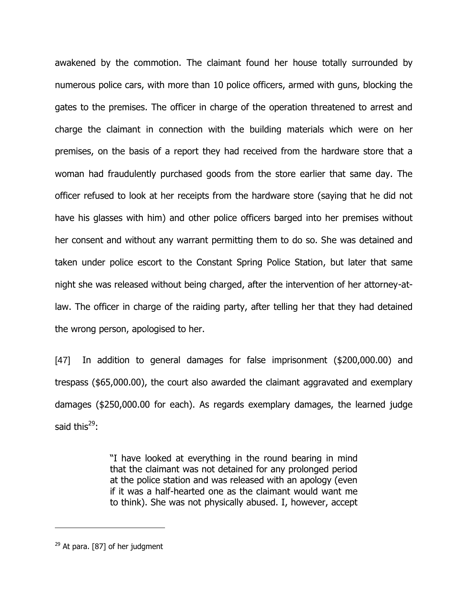awakened by the commotion. The claimant found her house totally surrounded by numerous police cars, with more than 10 police officers, armed with guns, blocking the gates to the premises. The officer in charge of the operation threatened to arrest and charge the claimant in connection with the building materials which were on her premises, on the basis of a report they had received from the hardware store that a woman had fraudulently purchased goods from the store earlier that same day. The officer refused to look at her receipts from the hardware store (saying that he did not have his glasses with him) and other police officers barged into her premises without her consent and without any warrant permitting them to do so. She was detained and taken under police escort to the Constant Spring Police Station, but later that same night she was released without being charged, after the intervention of her attorney-atlaw. The officer in charge of the raiding party, after telling her that they had detained the wrong person, apologised to her.

[47] In addition to general damages for false imprisonment (\$200,000.00) and trespass (\$65,000.00), the court also awarded the claimant aggravated and exemplary damages (\$250,000.00 for each). As regards exemplary damages, the learned judge said this $^{29}$ :

> "I have looked at everything in the round bearing in mind that the claimant was not detained for any prolonged period at the police station and was released with an apology (even if it was a half-hearted one as the claimant would want me to think). She was not physically abused. I, however, accept

 $29$  At para. [87] of her judgment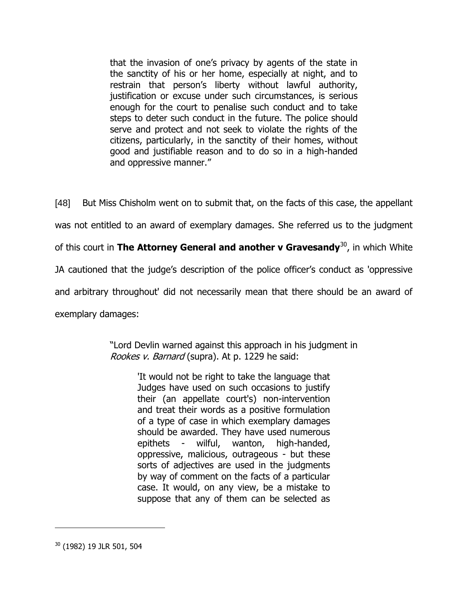that the invasion of one"s privacy by agents of the state in the sanctity of his or her home, especially at night, and to restrain that person's liberty without lawful authority, justification or excuse under such circumstances, is serious enough for the court to penalise such conduct and to take steps to deter such conduct in the future. The police should serve and protect and not seek to violate the rights of the citizens, particularly, in the sanctity of their homes, without good and justifiable reason and to do so in a high-handed and oppressive manner."

[48] But Miss Chisholm went on to submit that, on the facts of this case, the appellant was not entitled to an award of exemplary damages. She referred us to the judgment of this court in **The Attorney General and another v Gravesandy**<sup>30</sup>, in which White JA cautioned that the judge"s description of the police officer"s conduct as 'oppressive and arbitrary throughout' did not necessarily mean that there should be an award of exemplary damages:

> "Lord Devlin warned against this approach in his judgment in Rookes v. Barnard (supra). At p. 1229 he said:

> > 'It would not be right to take the language that Judges have used on such occasions to justify their (an appellate court's) non-intervention and treat their words as a positive formulation of a type of case in which exemplary damages should be awarded. They have used numerous epithets - wilful, wanton, high-handed, oppressive, malicious, outrageous - but these sorts of adjectives are used in the judgments by way of comment on the facts of a particular case. It would, on any view, be a mistake to suppose that any of them can be selected as

<sup>30</sup> (1982) 19 JLR 501, 504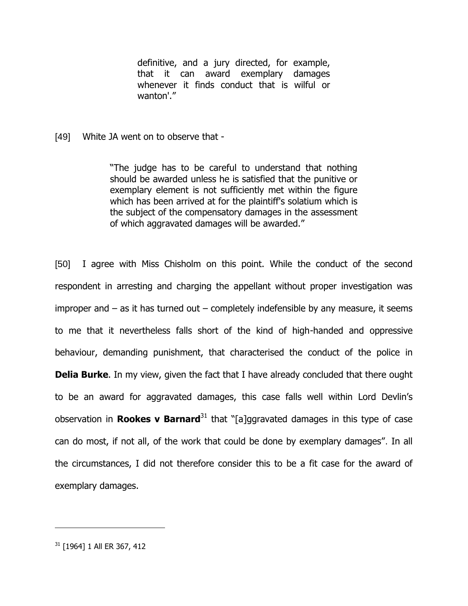definitive, and a jury directed, for example, that it can award exemplary damages whenever it finds conduct that is wilful or wanton'."

[49] White JA went on to observe that -

"The judge has to be careful to understand that nothing should be awarded unless he is satisfied that the punitive or exemplary element is not sufficiently met within the figure which has been arrived at for the plaintiff's solatium which is the subject of the compensatory damages in the assessment of which aggravated damages will be awarded."

[50] I agree with Miss Chisholm on this point. While the conduct of the second respondent in arresting and charging the appellant without proper investigation was improper and  $-$  as it has turned out  $-$  completely indefensible by any measure, it seems to me that it nevertheless falls short of the kind of high-handed and oppressive behaviour, demanding punishment, that characterised the conduct of the police in **Delia Burke**. In my view, given the fact that I have already concluded that there ought to be an award for aggravated damages, this case falls well within Lord Devlin"s observation in **Rookes v Barnard**<sup>31</sup> that "[a]ggravated damages in this type of case can do most, if not all, of the work that could be done by exemplary damages". In all the circumstances, I did not therefore consider this to be a fit case for the award of exemplary damages.

<sup>31</sup> [1964] 1 All ER 367, 412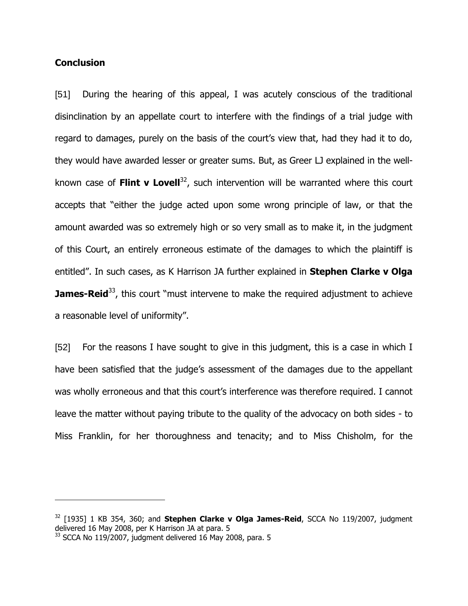### **Conclusion**

 $\overline{a}$ 

[51] During the hearing of this appeal, I was acutely conscious of the traditional disinclination by an appellate court to interfere with the findings of a trial judge with regard to damages, purely on the basis of the court's view that, had they had it to do, they would have awarded lesser or greater sums. But, as Greer LJ explained in the wellknown case of **Flint v Lovell**<sup>32</sup>, such intervention will be warranted where this court accepts that "either the judge acted upon some wrong principle of law, or that the amount awarded was so extremely high or so very small as to make it, in the judgment of this Court, an entirely erroneous estimate of the damages to which the plaintiff is entitled". In such cases, as K Harrison JA further explained in **Stephen Clarke v Olga James-Reid**<sup>33</sup>, this court "must intervene to make the required adjustment to achieve a reasonable level of uniformity".

[52] For the reasons I have sought to give in this judgment, this is a case in which I have been satisfied that the judge's assessment of the damages due to the appellant was wholly erroneous and that this court's interference was therefore required. I cannot leave the matter without paying tribute to the quality of the advocacy on both sides - to Miss Franklin, for her thoroughness and tenacity; and to Miss Chisholm, for the

<sup>32</sup> [1935] 1 KB 354, 360; and **Stephen Clarke v Olga James-Reid**, SCCA No 119/2007, judgment delivered 16 May 2008, per K Harrison JA at para. 5

 $33$  SCCA No 119/2007, judgment delivered 16 May 2008, para. 5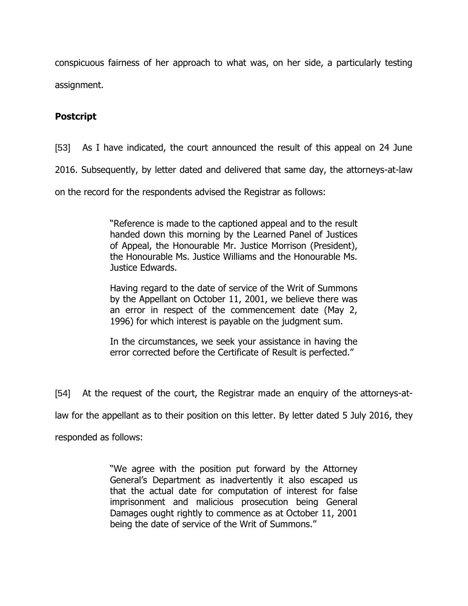conspicuous fairness of her approach to what was, on her side, a particularly testing assignment.

## **Postcript**

[53] As I have indicated, the court announced the result of this appeal on 24 June

2016. Subsequently, by letter dated and delivered that same day, the attorneys-at-law

on the record for the respondents advised the Registrar as follows:

"Reference is made to the captioned appeal and to the result handed down this morning by the Learned Panel of Justices of Appeal, the Honourable Mr. Justice Morrison (President), the Honourable Ms. Justice Williams and the Honourable Ms. Justice Edwards.

Having regard to the date of service of the Writ of Summons by the Appellant on October 11, 2001, we believe there was an error in respect of the commencement date (May 2, 1996) for which interest is payable on the judgment sum.

In the circumstances, we seek your assistance in having the error corrected before the Certificate of Result is perfected."

[54] At the request of the court, the Registrar made an enquiry of the attorneys-at-

law for the appellant as to their position on this letter. By letter dated 5 July 2016, they

responded as follows:

"We agree with the position put forward by the Attorney General"s Department as inadvertently it also escaped us that the actual date for computation of interest for false imprisonment and malicious prosecution being General Damages ought rightly to commence as at October 11, 2001 being the date of service of the Writ of Summons."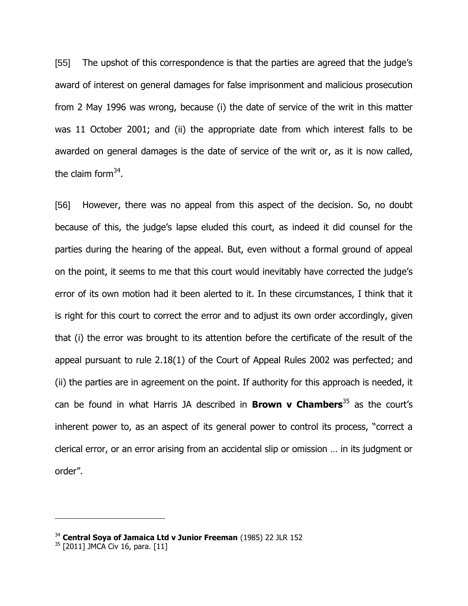[55] The upshot of this correspondence is that the parties are agreed that the judge"s award of interest on general damages for false imprisonment and malicious prosecution from 2 May 1996 was wrong, because (i) the date of service of the writ in this matter was 11 October 2001; and (ii) the appropriate date from which interest falls to be awarded on general damages is the date of service of the writ or, as it is now called, the claim form<sup>34</sup>.

[56] However, there was no appeal from this aspect of the decision. So, no doubt because of this, the judge"s lapse eluded this court, as indeed it did counsel for the parties during the hearing of the appeal. But, even without a formal ground of appeal on the point, it seems to me that this court would inevitably have corrected the judge"s error of its own motion had it been alerted to it. In these circumstances, I think that it is right for this court to correct the error and to adjust its own order accordingly, given that (i) the error was brought to its attention before the certificate of the result of the appeal pursuant to rule 2.18(1) of the Court of Appeal Rules 2002 was perfected; and (ii) the parties are in agreement on the point. If authority for this approach is needed, it can be found in what Harris JA described in **Brown v Chambers**<sup>35</sup> as the court"s inherent power to, as an aspect of its general power to control its process, "correct a clerical error, or an error arising from an accidental slip or omission … in its judgment or order".

<sup>34</sup> **Central Soya of Jamaica Ltd v Junior Freeman** (1985) 22 JLR 152

 $35$  [2011] JMCA Civ 16, para. [11]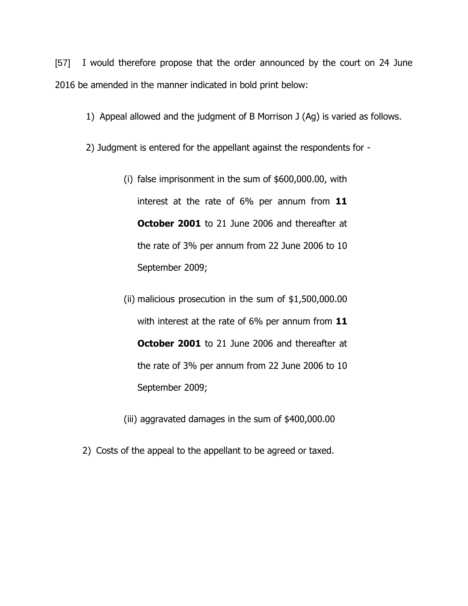[57] I would therefore propose that the order announced by the court on 24 June 2016 be amended in the manner indicated in bold print below:

1) Appeal allowed and the judgment of B Morrison J (Ag) is varied as follows.

2) Judgment is entered for the appellant against the respondents for -

- (i) false imprisonment in the sum of \$600,000.00, with interest at the rate of 6% per annum from **11 October 2001** to 21 June 2006 and thereafter at the rate of 3% per annum from 22 June 2006 to 10 September 2009;
- (ii) malicious prosecution in the sum of \$1,500,000.00 with interest at the rate of 6% per annum from **11 October 2001** to 21 June 2006 and thereafter at the rate of 3% per annum from 22 June 2006 to 10 September 2009;
- (iii) aggravated damages in the sum of \$400,000.00
- 2) Costs of the appeal to the appellant to be agreed or taxed.